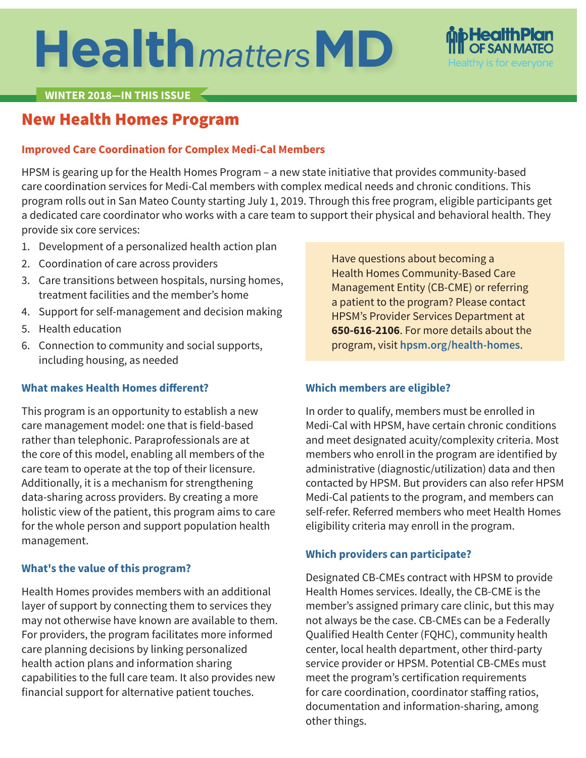# <span id="page-0-0"></span>**Health***matters***MD**



#### **WINTER 2018—IN THIS ISSUE**

## New Health Homes Program

#### **Improved Care Coordination for Complex Medi-Cal Members**

HPSM is gearing up for the Health Homes Program – a new state initiative that provides community-based care coordination services for Medi-Cal members with complex medical needs and chronic conditions. This program rolls out in San Mateo County starting July 1, 2019. Through this free program, eligible participants get a dedicated care coordinator who works with a care team to support their physical and behavioral health. They provide six core services:

- 1. Development of a personalized health action plan
- 2. Coordination of care across providers
- 3. Care transitions between hospitals, nursing homes, treatment facilities and the member's home
- 4. Support for self-management and decision making
- 5. Health education
- 6. Connection to community and social supports, including housing, as needed

#### **What makes Health Homes different?**

This program is an opportunity to establish a new care management model: one that is field-based rather than telephonic. Paraprofessionals are at the core of this model, enabling all members of the care team to operate at the top of their licensure. Additionally, it is a mechanism for strengthening data-sharing across providers. By creating a more holistic view of the patient, this program aims to care for the whole person and support population health management.

#### **What's the value of this program?**

Health Homes provides members with an additional layer of support by connecting them to services they may not otherwise have known are available to them. For providers, the program facilitates more informed care planning decisions by linking personalized health action plans and information sharing capabilities to the full care team. It also provides new financial support for alternative patient touches.

Have questions about becoming a Health Homes Community-Based Care Management Entity (CB-CME) or referring a patient to the program? Please contact HPSM's Provider Services Department at **650-616-2106**. For more details about the program, visit **[hpsm.org/health-homes](https://www.hpsm.org/provider/care-coordination/health-homes)**.

#### **Which members are eligible?**

In order to qualify, members must be enrolled in Medi-Cal with HPSM, have certain chronic conditions and meet designated acuity/complexity criteria. Most members who enroll in the program are identified by administrative (diagnostic/utilization) data and then contacted by HPSM. But providers can also refer HPSM Medi-Cal patients to the program, and members can self-refer. Referred members who meet Health Homes eligibility criteria may enroll in the program.

#### **Which providers can participate?**

Designated CB-CMEs contract with HPSM to provide Health Homes services. Ideally, the CB-CME is the member's assigned primary care clinic, but this may not always be the case. CB-CMEs can be a Federally Qualified Health Center (FQHC), community health center, local health department, other third-party service provider or HPSM. Potential CB-CMEs must meet the program's certification requirements for care coordination, coordinator staffing ratios, documentation and information-sharing, among other things.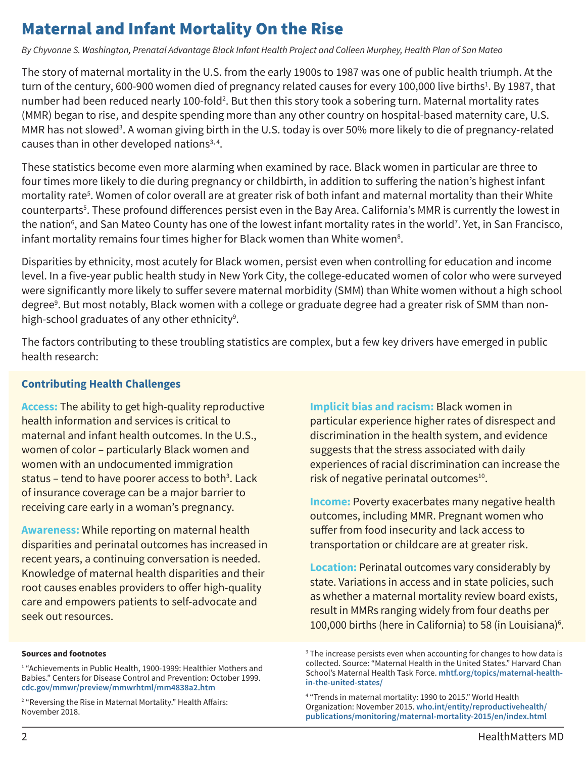# <span id="page-1-0"></span>Maternal and Infant Mortality On the Rise

*By Chyvonne S. Washington, Prenatal Advantage Black Infant Health Project and Colleen Murphey, Health Plan of San Mateo*

The story of maternal mortality in the U.S. from the early 1900s to 1987 was one of public health triumph. At the turn of the century, 600-900 women died of pregnancy related causes for every 100,000 live births<sup>1</sup>. By 1987, that number had been reduced nearly 100-fold<sup>2</sup>. But then this story took a sobering turn. Maternal mortality rates (MMR) began to rise, and despite spending more than any other country on hospital-based maternity care, U.S. MMR has not slowed<sup>3</sup>. A woman giving birth in the U.S. today is over 50% more likely to die of pregnancy-related causes than in other developed nations $3, 4$ .

These statistics become even more alarming when examined by race. Black women in particular are three to four times more likely to die during pregnancy or childbirth, in addition to suffering the nation's highest infant mortality rate<sup>5</sup>. Women of color overall are at greater risk of both infant and maternal mortality than their White counterparts<sup>5</sup>. These profound differences persist even in the Bay Area. California's MMR is currently the lowest in the nation<sup>6</sup>, and San Mateo County has one of the lowest infant mortality rates in the world<sup>7</sup>. Yet, in San Francisco, infant mortality remains four times higher for Black women than White women $^{\rm 8}$ .

Disparities by ethnicity, most acutely for Black women, persist even when controlling for education and income level. In a five-year public health study in New York City, the college-educated women of color who were surveyed were significantly more likely to suffer severe maternal morbidity (SMM) than White women without a high school degree<sup>9</sup>. But most notably, Black women with a college or graduate degree had a greater risk of SMM than nonhigh-school graduates of any other ethnicity $^{\circ}$ .

The factors contributing to these troubling statistics are complex, but a few key drivers have emerged in public health research:

#### **Contributing Health Challenges**

**Access:** The ability to get high-quality reproductive health information and services is critical to maternal and infant health outcomes. In the U.S., women of color – particularly Black women and women with an undocumented immigration status – tend to have poorer access to both<sup>3</sup>. Lack of insurance coverage can be a major barrier to receiving care early in a woman's pregnancy.

**Awareness:** While reporting on maternal health disparities and perinatal outcomes has increased in recent years, a continuing conversation is needed. Knowledge of maternal health disparities and their root causes enables providers to offer high-quality care and empowers patients to self-advocate and seek out resources.

#### **Sources and footnotes**

**Implicit bias and racism:** Black women in particular experience higher rates of disrespect and discrimination in the health system, and evidence suggests that the stress associated with daily experiences of racial discrimination can increase the risk of negative perinatal outcomes $^{10}$ .

**Income:** Poverty exacerbates many negative health outcomes, including MMR. Pregnant women who suffer from food insecurity and lack access to transportation or childcare are at greater risk.

**Location:** Perinatal outcomes vary considerably by state. Variations in access and in state policies, such as whether a maternal mortality review board exists, result in MMRs ranging widely from four deaths per 100,000 births (here in California) to 58 (in Louisiana)6 .

<sup>1</sup> "Achievements in Public Health, 1900-1999: Healthier Mothers and Babies." Centers for Disease Control and Prevention: October 1999. **[cdc.gov/mmwr/preview/mmwrhtml/mm4838a2.htm](https://www.cdc.gov/mmwr/preview/mmwrhtml/mm4838a2.htm)**

<sup>2</sup> "Reversing the Rise in Maternal Mortality." Health Affairs: November 2018.

 $3$  The increase persists even when accounting for changes to how data is collected. Source: "Maternal Health in the United States." Harvard Chan [School's Maternal Health Task Force.](https://www.mhtf.org/topics/maternal-health-in-the-united-states/) **mhtf.org/topics/maternal-healthin-the-united-states/**

<sup>4</sup> "Trends in maternal mortality: 1990 to 2015." World Health Organization: November 2015. **who.int/entity/reproductivehealth/ [publications/monitoring/maternal-mortality-2015/en/index.html](https://www.who.int/reproductivehealth/publications/monitoring/maternal-mortality-2015/en/)**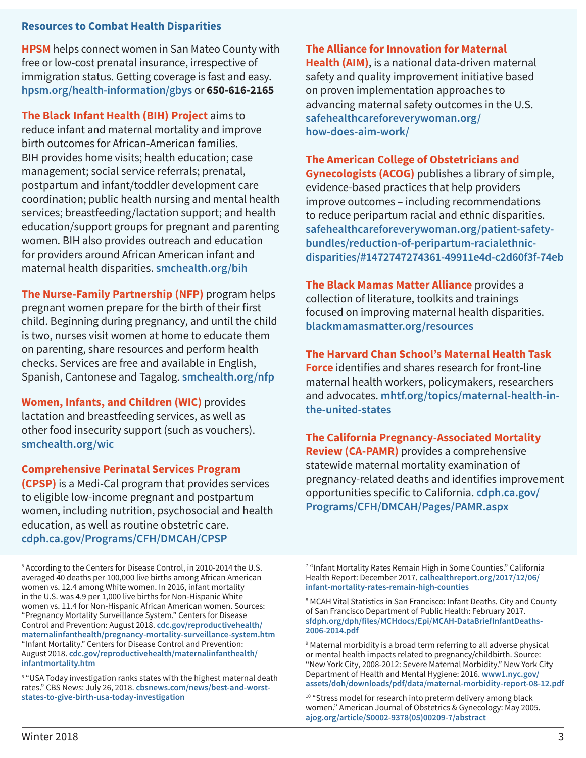#### **Resources to Combat Health Disparities**

**HPSM** helps connect women in San Mateo County with free or low-cost prenatal insurance, irrespective of immigration status. Getting coverage is fast and easy. **[hpsm.org/health-information/gbys](https://www.hpsm.org/health-information/gbys)** or **650-616-2165**

**The Black Infant Health (BIH) Project** aims to reduce infant and maternal mortality and improve birth outcomes for African-American families. BIH provides home visits; health education; case management; social service referrals; prenatal, postpartum and infant/toddler development care coordination; public health nursing and mental health services; breastfeeding/lactation support; and health education/support groups for pregnant and parenting women. BIH also provides outreach and education for providers around African American infant and maternal health disparities. **[smchealth.org/bih](https://www.smchealth.org/bih)**

**The Nurse-Family Partnership (NFP)** program helps pregnant women prepare for the birth of their first child. Beginning during pregnancy, and until the child is two, nurses visit women at home to educate them on parenting, share resources and perform health checks. Services are free and available in English, Spanish, Cantonese and Tagalog. **[smchealth.org/nfp](https://www.smchealth.org/nfp)**

**Women, Infants, and Children (WIC)** provides lactation and breastfeeding services, as well as other food insecurity support (such as vouchers). **[smchealth.org/wic](https://www.smchealth.org/wic)**

**Comprehensive Perinatal Services Program (CPSP)** is a Medi-Cal program that provides services to eligible low-income pregnant and postpartum women, including nutrition, psychosocial and health education, as well as routine obstetric care. **<cdph.ca.gov/Programs/CFH/DMCAH/CPSP>**

5 According to the Centers for Disease Control, in 2010-2014 the U.S. averaged 40 deaths per 100,000 live births among African American women vs. 12.4 among White women. In 2016, infant mortality in the U.S. was 4.9 per 1,000 live births for Non-Hispanic White women vs. 11.4 for Non-Hispanic African American women. Sources: "Pregnancy Mortality Surveillance System." Centers for Disease Control and Prevention: August 2018. **cdc.gov/reproductivehealth/ [maternalinfanthealth/pregnancy-mortality-surveillance-system.htm](https://www.cdc.gov/reproductivehealth/maternalinfanthealth/pregnancy-mortality-surveillance-system.htm)** "Infant Mortality." Centers for Disease Control and Prevention: August 2018. **[cdc.gov/reproductivehealth/maternalinfanthealth/](https://www.cdc.gov/reproductivehealth/maternalinfanthealth/infantmortality.htm) infantmortality.htm**

<sup>6</sup> "USA Today investigation ranks states with the highest maternal death rates." CBS News: July 26, 2018. **cbsnews.com/news/best-and-worst[states-to-give-birth-usa-today-investigation](https://www.cbsnews.com/news/best-and-worst-states-to-give-birth-usa-today-investigation/)**

**The Alliance for Innovation for Maternal Health (AIM)**, is a national data-driven maternal safety and quality improvement initiative based on proven implementation approaches to advancing maternal safety outcomes in the U.S. **[safehealthcareforeverywoman.org/](https://safehealthcareforeverywoman.org/how-does-aim-work/) how-does-aim-work/**

**The American College of Obstetricians and Gynecologists (ACOG)** publishes a library of simple, evidence-based practices that help providers improve outcomes – including recommendations to reduce peripartum racial and ethnic disparities. **safehealthcareforeverywoman.org/patient-safetybundles/reduction-of-peripartum-racialethnic[disparities/#1472747274361-49911e4d-c2d60f3f-74eb](https://safehealthcareforeverywoman.org/patient-safety-bundles/reduction-of-peripartum-racialethnic-disparities/)**

**The Black Mamas Matter Alliance** provides a collection of literature, toolkits and trainings focused on improving maternal health disparities. **blackmamasmatter.org/resources**

**The Harvard Chan School's Maternal Health Task** 

**Force** identifies and shares research for front-line maternal health workers, policymakers, researchers and advocates. **[mhtf.org/topics/maternal-health-in](https://www.mhtf.org/topics/maternal-health-in-the-united-states/)the-united-states**

**The California Pregnancy-Associated Mortality Review (CA-PAMR)** provides a comprehensive statewide maternal mortality examination of pregnancy-related deaths and identifies improvement opportunities specific to California. **cdph.ca.gov/ [Programs/CFH/DMCAH/Pages/PAMR.aspx](cdph.ca.gov/Programs/CFH/DMCAH/Pages/PAMR.aspx)**

7 "Infant Mortality Rates Remain High in Some Counties." California Health Report: December 2017. **calhealthreport.org/2017/12/06/ [infant-mortality-rates-remain-high-counties](http://www.calhealthreport.org/2017/12/06/infant-mortality-rates-remain-high-counties/)**

8 MCAH Vital Statistics in San Francisco: Infant Deaths. City and County of San Francisco Department of Public Health: February 2017. **[sfdph.org/dph/files/MCHdocs/Epi/MCAH-DataBriefInfantDeaths-](https://www.sfdph.org/dph/files/MCHdocs/Epi/MCAH-DataBriefInfantDeaths-2006-2014.pdf)2006-2014.pdf**

 $^{\rm 9}$  Maternal morbidity is a broad term referring to all adverse physical or mental health impacts related to pregnancy/childbirth. Source: "New York City, 2008-2012: Severe Maternal Morbidity." New York City Department of Health and Mental Hygiene: 2016. **www1.nyc.gov/ [assets/doh/downloads/pdf/data/maternal-morbidity-report-08-12.pdf](https://www1.nyc.gov/assets/doh/downloads/pdf/data/maternal-morbidity-report-08-12.pdf)**

<sup>10</sup> "Stress model for research into preterm delivery among black women." American Journal of Obstetrics & Gynecology: May 2005. **[ajog.org/article/S0002-9378\(05\)00209-7/abstract](https://www.ajog.org/article/S0002-9378(05)00209-7/abstract)**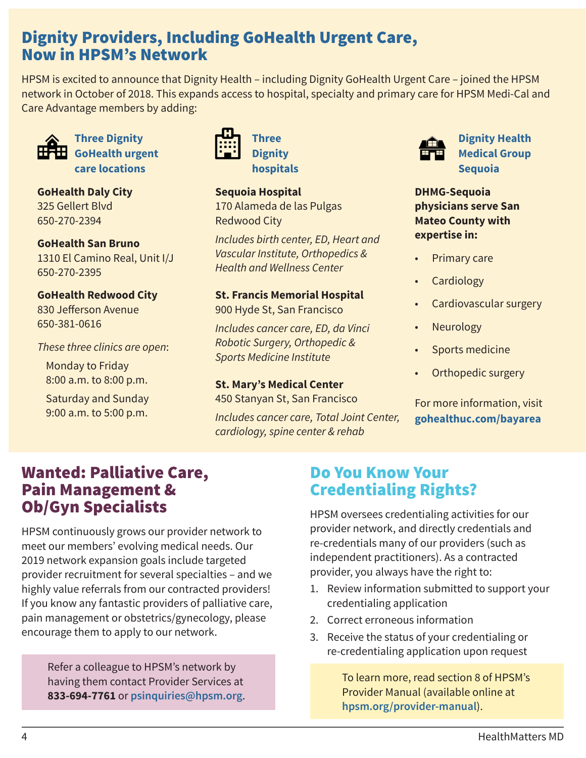## <span id="page-3-0"></span>Dignity Providers, Including GoHealth Urgent Care, Now in HPSM's Network

HPSM is excited to announce that Dignity Health – including Dignity GoHealth Urgent Care – joined the HPSM network in October of 2018. This expands access to hospital, specialty and primary care for HPSM Medi-Cal and Care Advantage members by adding:



**Three Dignity GoHealth urgent care locations**

**GoHealth Daly City** 325 Gellert Blvd 650-270-2394

**GoHealth San Bruno** 1310 El Camino Real, Unit I/J 650-270-2395

**GoHealth Redwood City** 830 Jefferson Avenue 650-381-0616

*These three clinics are open*:

Monday to Friday 8:00 a.m. to 8:00 p.m.

Saturday and Sunday 9:00 a.m. to 5:00 p.m.



**Three Dignity hospitals**

**Sequoia Hospital** 170 Alameda de las Pulgas Redwood City

*Includes birth center, ED, Heart and Vascular Institute, Orthopedics & Health and Wellness Center*

**St. Francis Memorial Hospital** 900 Hyde St, San Francisco

*Includes cancer care, ED, da Vinci Robotic Surgery, Orthopedic & Sports Medicine Institute*

#### **St. Mary's Medical Center**

450 Stanyan St, San Francisco

*Includes cancer care, Total Joint Center, cardiology, spine center & rehab*



**Dignity Health Medical Group Sequoia**

**DHMG-Sequoia physicians serve San Mateo County with expertise in:**

- Primary care
- **Cardiology**
- Cardiovascular surgery
- **Neurology**
- Sports medicine
- Orthopedic surgery

For more information, visit **[gohealthuc.com/bayarea](https://www.gohealthuc.com/bayarea)**

## Wanted: Palliative Care, Pain Management & Ob/Gyn Specialists

HPSM continuously grows our provider network to meet our members' evolving medical needs. Our 2019 network expansion goals include targeted provider recruitment for several specialties – and we highly value referrals from our contracted providers! If you know any fantastic providers of palliative care, pain management or obstetrics/gynecology, please encourage them to apply to our network.

> Refer a colleague to HPSM's network by having them contact Provider Services at **833-694-7761** or **psinquiries@hpsm.org**.

## Do You Know Your Credentialing Rights?

HPSM oversees credentialing activities for our provider network, and directly credentials and re-credentials many of our providers (such as independent practitioners). As a contracted provider, you always have the right to:

- 1. Review information submitted to support your credentialing application
- 2. Correct erroneous information
- 3. Receive the status of your credentialing or re-credentialing application upon request

To learn more, read section 8 of HPSM's Provider Manual (available online at **[hpsm.org/provider-manual](https://www.hpsm.org/provider/resources/provider-manual)**).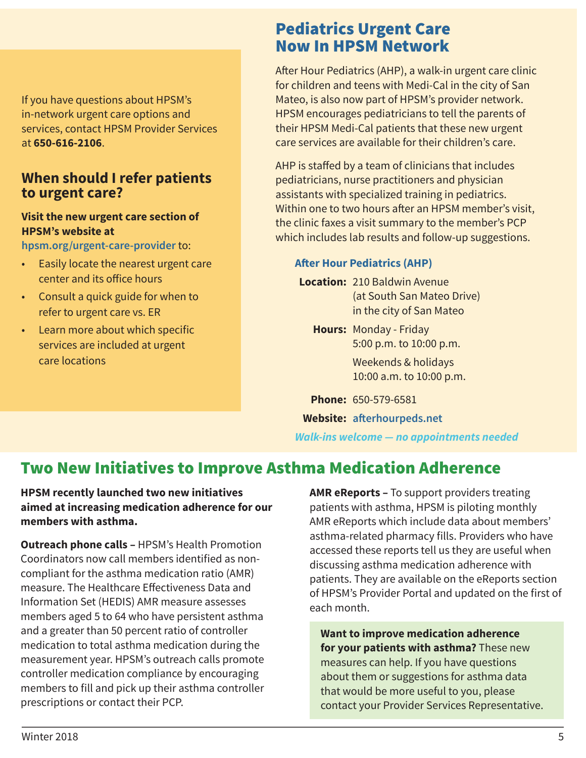<span id="page-4-0"></span>If you have questions about HPSM's in-network urgent care options and services, contact HPSM Provider Services at **650-616-2106**.

### **When should I refer patients to urgent care?**

#### **Visit the new urgent care section of HPSM's website at**

**[hpsm.org/urgent-care-provider](https://www.hpsm.org/provider/resources/urgent-care)** to:

- Easily locate the nearest urgent care center and its office hours
- Consult a quick guide for when to refer to urgent care vs. ER
- Learn more about which specific services are included at urgent care locations

## Pediatrics Urgent Care Now In HPSM Network

After Hour Pediatrics (AHP), a walk-in urgent care clinic for children and teens with Medi-Cal in the city of San Mateo, is also now part of HPSM's provider network. HPSM encourages pediatricians to tell the parents of their HPSM Medi-Cal patients that these new urgent care services are available for their children's care.

AHP is staffed by a team of clinicians that includes pediatricians, nurse practitioners and physician assistants with specialized training in pediatrics. Within one to two hours after an HPSM member's visit, the clinic faxes a visit summary to the member's PCP which includes lab results and follow-up suggestions.

#### **After Hour Pediatrics (AHP)**

**Location:** 210 Baldwin Avenue (at South San Mateo Drive) in the city of San Mateo

**Hours:** Monday - Friday 5:00 p.m. to 10:00 p.m.

> Weekends & holidays 10:00 a.m. to 10:00 p.m.

**Phone:** 650-579-6581

**Website: [afterhourpeds.net](https://www.afterhourpeds.net/)**

*Walk-ins welcome — no appointments needed*

# Two New Initiatives to Improve Asthma Medication Adherence

#### **HPSM recently launched two new initiatives aimed at increasing medication adherence for our members with asthma.**

**Outreach phone calls –** HPSM's Health Promotion Coordinators now call members identified as noncompliant for the asthma medication ratio (AMR) measure. The Healthcare Effectiveness Data and Information Set (HEDIS) AMR measure assesses members aged 5 to 64 who have persistent asthma and a greater than 50 percent ratio of controller medication to total asthma medication during the measurement year. HPSM's outreach calls promote controller medication compliance by encouraging members to fill and pick up their asthma controller prescriptions or contact their PCP.

**AMR eReports –** To support providers treating patients with asthma, HPSM is piloting monthly AMR eReports which include data about members' asthma-related pharmacy fills. Providers who have accessed these reports tell us they are useful when discussing asthma medication adherence with patients. They are available on the eReports section of HPSM's Provider Portal and updated on the first of each month.

**Want to improve medication adherence for your patients with asthma?** These new measures can help. If you have questions about them or suggestions for asthma data that would be more useful to you, please contact your Provider Services Representative.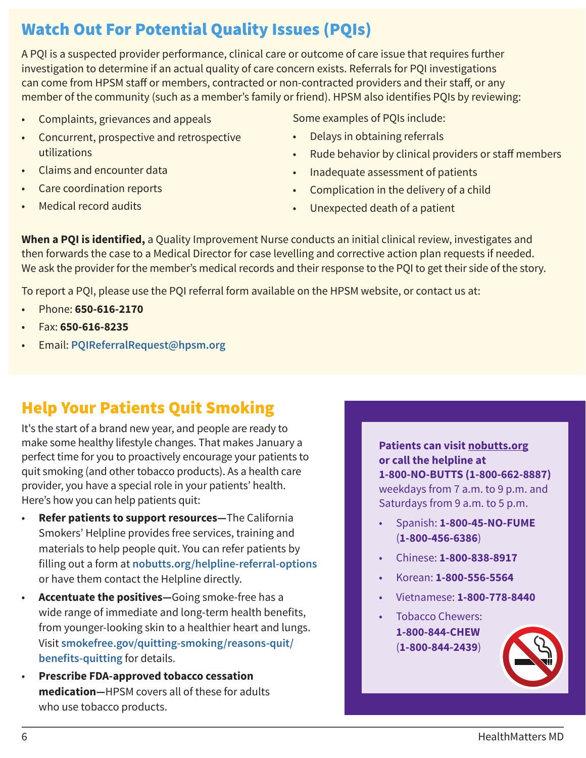# <span id="page-5-0"></span>Watch Out For Potential Quality Issues (PQIs)

A PQI is a suspected provider performance, clinical care or outcome of care issue that requires further investigation to determine if an actual quality of care concern exists. Referrals for PQI investigations can come from HPSM staff or members, contracted or non-contracted providers and their staff, or any member of the community (such as a member's family or friend). HPSM also identifies PQIs by reviewing:

- Complaints, grievances and appeals
- Concurrent, prospective and retrospective utilizations
- Claims and encounter data
- Care coordination reports
- Medical record audits

Some examples of PQIs include:

- Delays in obtaining referrals
- Rude behavior by clinical providers or staff members
- Inadequate assessment of patients
- Complication in the delivery of a child
- Unexpected death of a patient

**When a PQI is identified,** a Quality Improvement Nurse conducts an initial clinical review, investigates and then forwards the case to a Medical Director for case levelling and corrective action plan requests if needed. We ask the provider for the member's medical records and their response to the PQI to get their side of the story.

To report a PQI, please use the PQI referral form available on the HPSM website, or contact us at:

- Phone: **650-616-2170**
- Fax: **650-616-8235**
- Email: **PQIReferralRequest@hpsm.org**

## Help Your Patients Quit Smoking

It's the start of a brand new year, and people are ready to make some healthy lifestyle changes. That makes January a perfect time for you to proactively encourage your patients to quit smoking (and other tobacco products). As a health care provider, you have a special role in your patients' health. Here's how you can help patients quit:

- **Refer patients to support resources—**The California Smokers' Helpline provides free services, training and materials to help people quit. You can refer patients by filling out a form at **nobutts.org/helpline-referral-options** or have them contact the Helpline directly.
- **Accentuate the positives—**Going smoke-free has a wide range of immediate and long-term health benefits, from younger-looking skin to a healthier heart and lungs. Visit **[smokefree.gov/quitting-smoking/reasons-quit/](https://smokefree.gov/quit-smoking/why-you-should-quit/benefits-of-quitting) benefits-quitting** for details.
- **Prescribe FDA-approved tobacco cessation medication—**HPSM covers all of these for adults who use tobacco products.

**Patients can visit nobutts.org or call the helpline at 1-800-NO-BUTTS (1-800-662-8887)** weekdays from 7 a.m. to 9 p.m. and Saturdays from 9 a.m. to 5 p.m.

- Spanish: **1-800-45-NO-FUME** (**1-800-456-6386**)
- Chinese: **1-800-838-8917**
- Korean: **1-800-556-5564**
- Vietnamese: **1-800-778-8440**
	- Tobacco Chewers: **1-800-844-CHEW** (**1-800-844-2439**)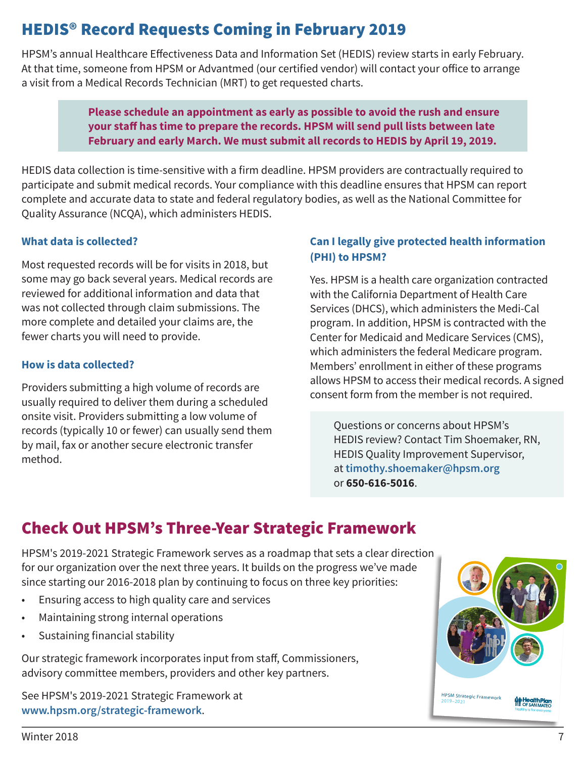# <span id="page-6-0"></span>HEDIS® Record Requests Coming in February 2019

HPSM's annual Healthcare Effectiveness Data and Information Set (HEDIS) review starts in early February. At that time, someone from HPSM or Advantmed (our certified vendor) will contact your office to arrange a visit from a Medical Records Technician (MRT) to get requested charts.

> **Please schedule an appointment as early as possible to avoid the rush and ensure your staff has time to prepare the records. HPSM will send pull lists between late February and early March. We must submit all records to HEDIS by April 19, 2019.**

HEDIS data collection is time-sensitive with a firm deadline. HPSM providers are contractually required to participate and submit medical records. Your compliance with this deadline ensures that HPSM can report complete and accurate data to state and federal regulatory bodies, as well as the National Committee for Quality Assurance (NCQA), which administers HEDIS.

#### **What data is collected?**

Most requested records will be for visits in 2018, but some may go back several years. Medical records are reviewed for additional information and data that was not collected through claim submissions. The more complete and detailed your claims are, the fewer charts you will need to provide.

#### **How is data collected?**

Providers submitting a high volume of records are usually required to deliver them during a scheduled onsite visit. Providers submitting a low volume of records (typically 10 or fewer) can usually send them by mail, fax or another secure electronic transfer method.

#### **Can I legally give protected health information (PHI) to HPSM?**

Yes. HPSM is a health care organization contracted with the California Department of Health Care Services (DHCS), which administers the Medi-Cal program. In addition, HPSM is contracted with the Center for Medicaid and Medicare Services (CMS), which administers the federal Medicare program. Members' enrollment in either of these programs allows HPSM to access their medical records. A signed consent form from the member is not required.

Questions or concerns about HPSM's HEDIS review? Contact Tim Shoemaker, RN, HEDIS Quality Improvement Supervisor, at **timothy.shoemaker@hpsm.org**  or **650-616-5016**.

## Check Out HPSM's Three-Year Strategic Framework

HPSM's 2019-2021 Strategic Framework serves as a roadmap that sets a clear direction for our organization over the next three years. It builds on the progress we've made since starting our 2016-2018 plan by continuing to focus on three key priorities:

- Ensuring access to high quality care and services
- Maintaining strong internal operations
- Sustaining financial stability

Our strategic framework incorporates input from staff, Commissioners, advisory committee members, providers and other key partners.

See HPSM's 2019-2021 Strategic Framework at **www.hpsm.org/strategic-framework**.